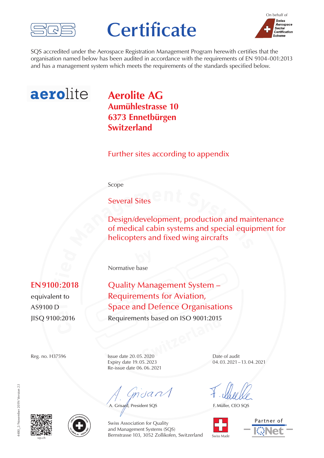

## **Certificate**



SQS accredited under the Aerospace Registration Management Program herewith certifies that the organisation named below has been audited in accordance with the requirements of EN 9104-001:2013 and has a management system which meets the requirements of the standards specified below.



## **Aerolite AG Aumühlestrasse 10 6373 Ennetbürgen Switzerland**

Further sites according to appendix

Scope

Several Sites

**besign/development, production and main of medical cabin systems and special equip helicopters and fixed wing aircrafts** Design/development, production and maintenance of medical cabin systems and special equipment for helicopters and fixed wing aircrafts

Normative base

**SWISQ 9100:2016** Requirements based on ISO 9001:2015<br>
Reg. no. H37596 Issue date 20.05.2020 Date **Quality Management System** Requirements for Aviation, **Space and Defence Organisations** 

JISQ 9100:2016

**t i** $\overline{0:26}$ 

AS9100 D

Reg. no. H37596 Issue date 20.05.2020 Date of audit Expiry date 19.05.2023 04.03.2021–13.04.2021 Re-issue date 06.06.2021

 $m$ dan

A. Grisard, President SQS

1480 2/November 2019/Version 2.1 4480\_2/November 2019/Version 2.1





Swiss Association for Quality and Management Systems (SQS) Bernstrasse 103, 3052 Zollikofen, Switzerland

F. Müller, CEO SQS